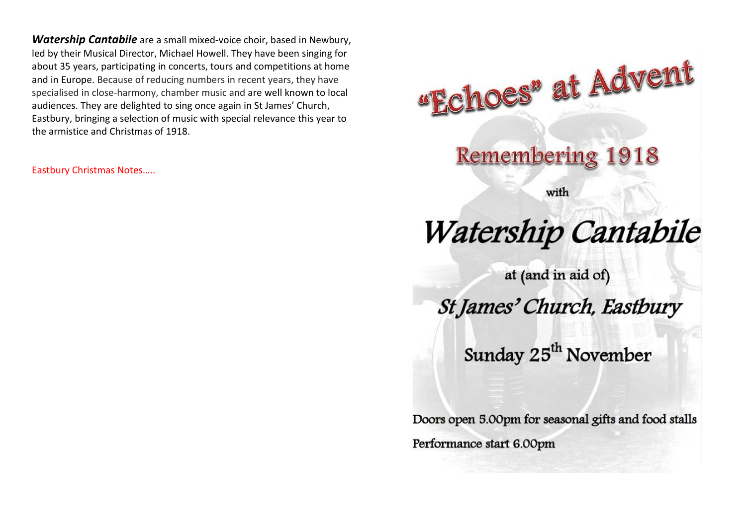*Watership Cantabile* are a small mixed-voice choir, based in Newbury, led by their Musical Director, Michael Howell. They have been singing for about 35 years, participating in concerts, tours and competitions at home and in Europe. Because of reducing numbers in recent years, they have specialised in close-harmony, chamber music and are well known to local audiences. They are delighted to sing once again in St James' Church, Eastbury, bringing a selection of music with special relevance this year to the armistice and Christmas of 1918.

Eastbury Christmas Notes…..

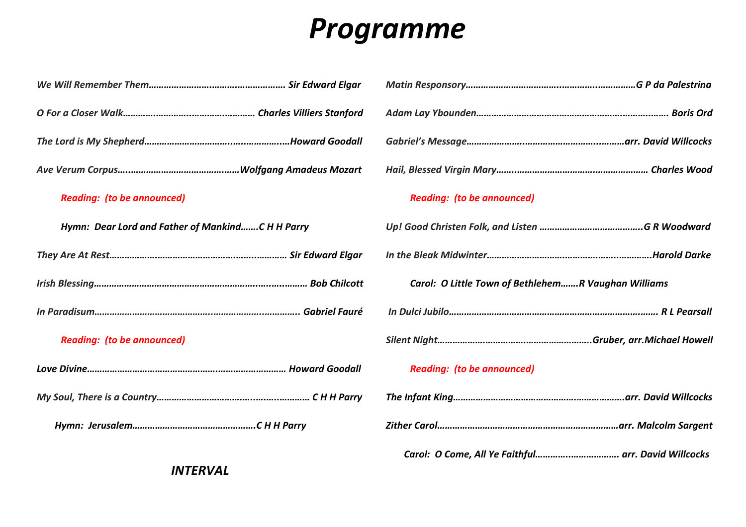# *Programme*

| <b>Reading: (to be announced)</b>                | <b>Reading: (to be announced)</b>                   |
|--------------------------------------------------|-----------------------------------------------------|
| Hymn: Dear Lord and Father of MankindC H H Parry |                                                     |
|                                                  |                                                     |
|                                                  | Carol: O Little Town of BethlehemR Vaughan Williams |
|                                                  |                                                     |
| <b>Reading: (to be announced)</b>                |                                                     |
|                                                  | <b>Reading: (to be announced)</b>                   |
|                                                  |                                                     |
|                                                  |                                                     |

 *Carol: O Come, All Ye Faithful…………..………………. arr. David Willcocks*

*INTERVAL*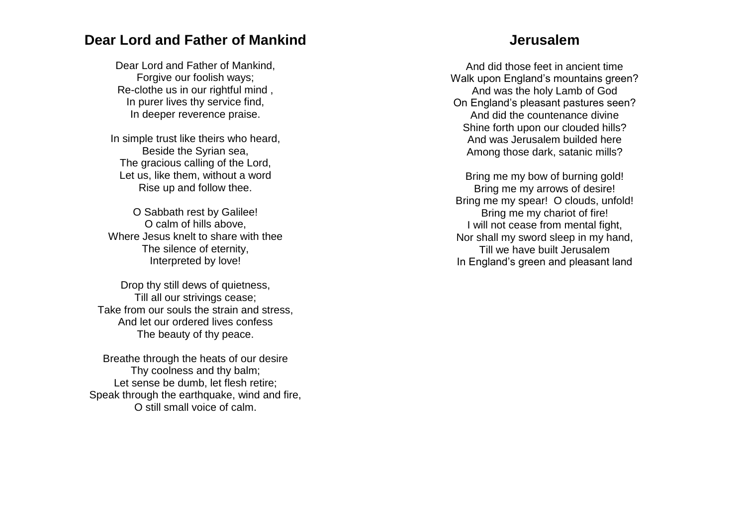### **Dear Lord and Father of Mankind**

Dear Lord and Father of Mankind, Forgive our foolish ways; Re -clothe us in our rightful mind , In purer lives thy service find, In deeper reverence praise.

In simple trust like theirs who heard, Beside the Syrian sea, The gracious calling of the Lord, Let us, like them, without a word Rise up and follow thee.

O Sabbath rest by Galilee! O calm of hills above, Where Jesus knelt to share with thee The silence of eternity, Interpreted by love!

Drop thy still dews of quietness, Till all our strivings cease; Take from our souls the strain and stress, And let our ordered lives confess The beauty of thy peace.

Breathe through the heats of our desire Thy coolness and thy balm; Let sense be dumb, let flesh retire; Speak through the earthquake, wind and fire, O still small voice of calm.

#### **Jerusalem**

And did those feet in ancient time Walk upon England's mountains green? And was the holy Lamb of God On England's pleasant pastures seen? And did the countenance divin e Shine forth upon our clouded hills? And was Jerusalem builded here Among those dark, satanic mills?

Bring me my bow of burning gold! Bring me my arrows of desire! Bring me my spear! O clouds, unfold! Bring me my chariot of fire! I will not cease from mental fight, Nor shall my sword sleep in my hand, Till we have built Jerusalem In England's green and pleasant land